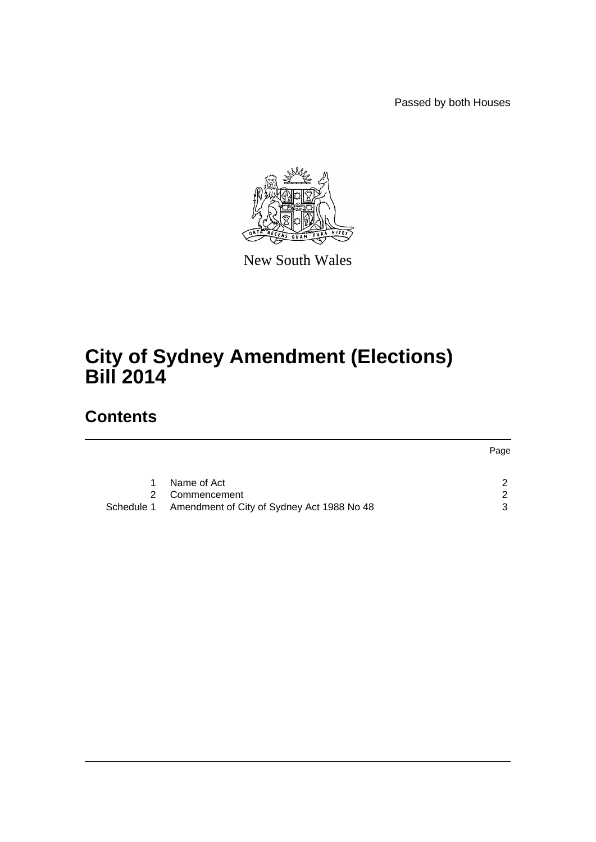Passed by both Houses



New South Wales

## **City of Sydney Amendment (Elections) Bill 2014**

## **Contents**

|   |                                                       | Page |
|---|-------------------------------------------------------|------|
|   |                                                       |      |
| 1 | Name of Act                                           |      |
| 2 | Commencement                                          | ົ    |
|   | Schedule 1 Amendment of City of Sydney Act 1988 No 48 |      |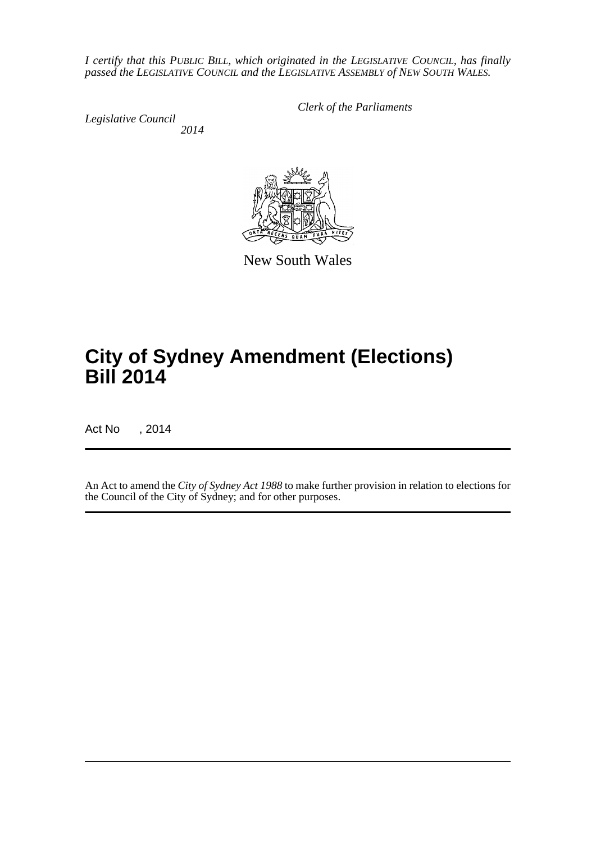*I certify that this PUBLIC BILL, which originated in the LEGISLATIVE COUNCIL, has finally passed the LEGISLATIVE COUNCIL and the LEGISLATIVE ASSEMBLY of NEW SOUTH WALES.*

*Legislative Council 2014* *Clerk of the Parliaments*



New South Wales

# **City of Sydney Amendment (Elections) Bill 2014**

Act No , 2014

An Act to amend the *City of Sydney Act 1988* to make further provision in relation to elections for the Council of the City of Sydney; and for other purposes.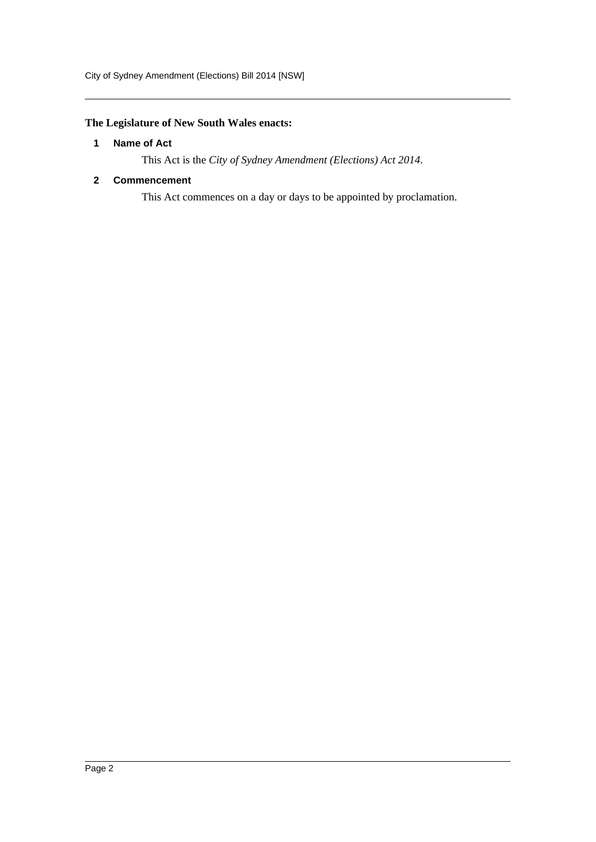## <span id="page-2-0"></span>**The Legislature of New South Wales enacts:**

#### **1 Name of Act**

This Act is the *City of Sydney Amendment (Elections) Act 2014*.

#### <span id="page-2-1"></span>**2 Commencement**

This Act commences on a day or days to be appointed by proclamation.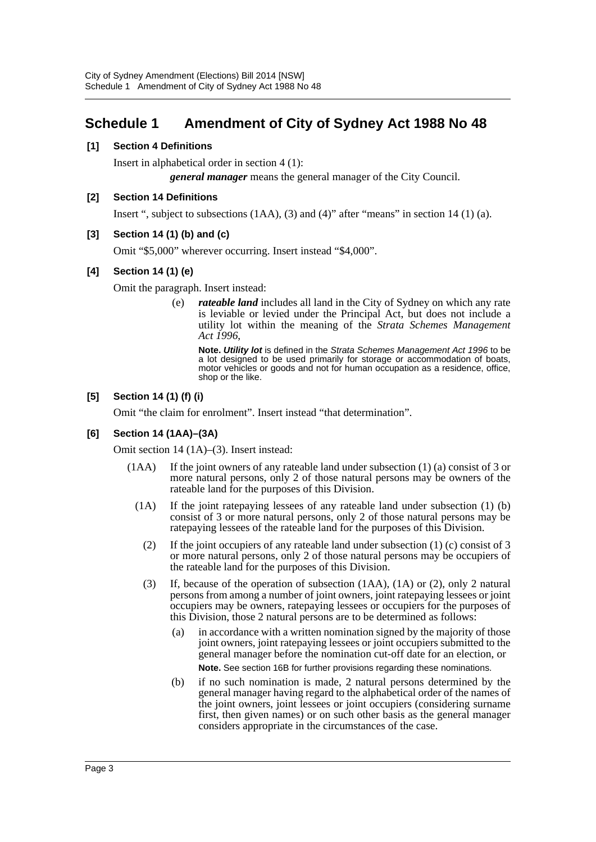## **Schedule 1 Amendment of City of Sydney Act 1988 No 48**

#### **[1] Section 4 Definitions**

Insert in alphabetical order in section 4 (1):

*general manager* means the general manager of the City Council.

#### **[2] Section 14 Definitions**

Insert ", subject to subsections  $(1AA)$ ,  $(3)$  and  $(4)$ " after "means" in section 14  $(1)$  (a).

#### **[3] Section 14 (1) (b) and (c)**

Omit "\$5,000" wherever occurring. Insert instead "\$4,000".

### **[4] Section 14 (1) (e)**

Omit the paragraph. Insert instead:

(e) *rateable land* includes all land in the City of Sydney on which any rate is leviable or levied under the Principal Act, but does not include a utility lot within the meaning of the *Strata Schemes Management Act 1996*,

**Note.** *Utility lot* is defined in the *Strata Schemes Management Act 1996* to be a lot designed to be used primarily for storage or accommodation of boats, motor vehicles or goods and not for human occupation as a residence, office, shop or the like.

### **[5] Section 14 (1) (f) (i)**

Omit "the claim for enrolment". Insert instead "that determination".

#### **[6] Section 14 (1AA)–(3A)**

Omit section 14 (1A)–(3). Insert instead:

- (1AA) If the joint owners of any rateable land under subsection (1) (a) consist of 3 or more natural persons, only 2 of those natural persons may be owners of the rateable land for the purposes of this Division.
	- (1A) If the joint ratepaying lessees of any rateable land under subsection (1) (b) consist of 3 or more natural persons, only 2 of those natural persons may be ratepaying lessees of the rateable land for the purposes of this Division.
		- (2) If the joint occupiers of any rateable land under subsection (1) (c) consist of 3 or more natural persons, only 2 of those natural persons may be occupiers of the rateable land for the purposes of this Division.
		- (3) If, because of the operation of subsection (1AA), (1A) or (2), only 2 natural persons from among a number of joint owners, joint ratepaying lessees or joint occupiers may be owners, ratepaying lessees or occupiers for the purposes of this Division, those 2 natural persons are to be determined as follows:
			- (a) in accordance with a written nomination signed by the majority of those joint owners, joint ratepaying lessees or joint occupiers submitted to the general manager before the nomination cut-off date for an election, or **Note.** See section 16B for further provisions regarding these nominations.
			- (b) if no such nomination is made, 2 natural persons determined by the general manager having regard to the alphabetical order of the names of the joint owners, joint lessees or joint occupiers (considering surname first, then given names) or on such other basis as the general manager considers appropriate in the circumstances of the case.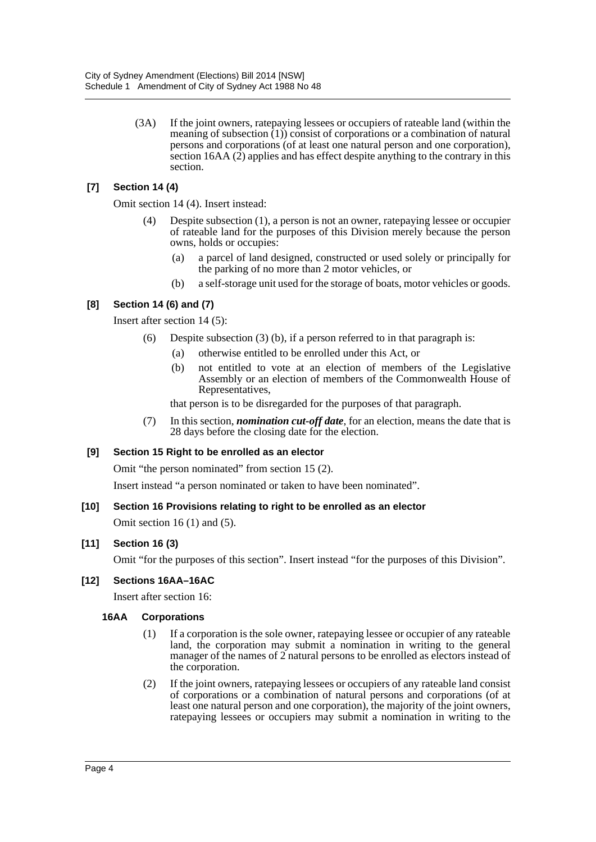(3A) If the joint owners, ratepaying lessees or occupiers of rateable land (within the meaning of subsection (1)) consist of corporations or a combination of natural persons and corporations (of at least one natural person and one corporation), section 16AA (2) applies and has effect despite anything to the contrary in this section.

### **[7] Section 14 (4)**

Omit section 14 (4). Insert instead:

- (4) Despite subsection (1), a person is not an owner, ratepaying lessee or occupier of rateable land for the purposes of this Division merely because the person owns, holds or occupies:
	- (a) a parcel of land designed, constructed or used solely or principally for the parking of no more than 2 motor vehicles, or
	- (b) a self-storage unit used for the storage of boats, motor vehicles or goods.

## **[8] Section 14 (6) and (7)**

Insert after section 14 (5):

- (6) Despite subsection (3) (b), if a person referred to in that paragraph is:
	- (a) otherwise entitled to be enrolled under this Act, or
	- (b) not entitled to vote at an election of members of the Legislative Assembly or an election of members of the Commonwealth House of Representatives,

that person is to be disregarded for the purposes of that paragraph.

(7) In this section, *nomination cut-off date*, for an election, means the date that is 28 days before the closing date for the election.

### **[9] Section 15 Right to be enrolled as an elector**

Omit "the person nominated" from section 15 (2).

Insert instead "a person nominated or taken to have been nominated".

### **[10] Section 16 Provisions relating to right to be enrolled as an elector**

Omit section  $16(1)$  and  $(5)$ .

### **[11] Section 16 (3)**

Omit "for the purposes of this section". Insert instead "for the purposes of this Division".

### **[12] Sections 16AA–16AC**

Insert after section 16:

#### **16AA Corporations**

- (1) If a corporation is the sole owner, ratepaying lessee or occupier of any rateable land, the corporation may submit a nomination in writing to the general manager of the names of 2 natural persons to be enrolled as electors instead of the corporation.
- (2) If the joint owners, ratepaying lessees or occupiers of any rateable land consist of corporations or a combination of natural persons and corporations (of at least one natural person and one corporation), the majority of the joint owners, ratepaying lessees or occupiers may submit a nomination in writing to the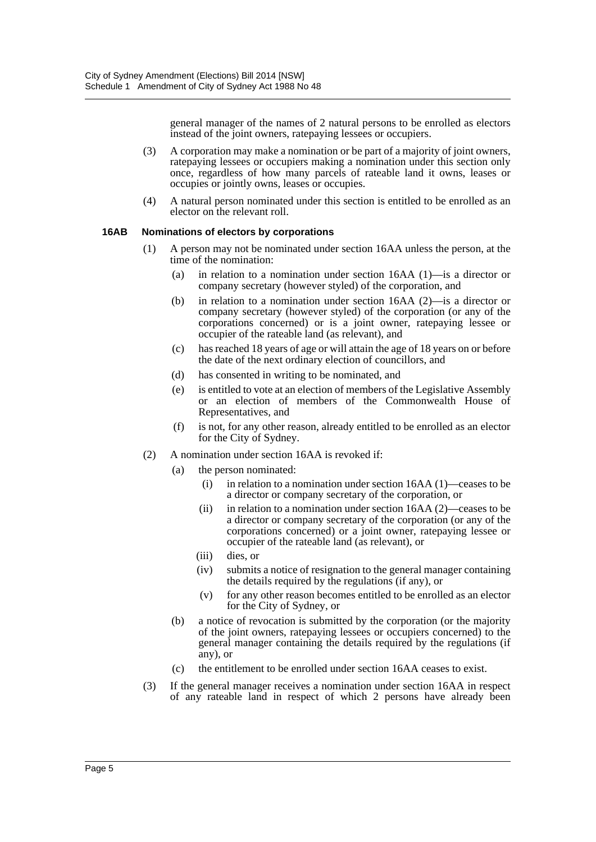general manager of the names of 2 natural persons to be enrolled as electors instead of the joint owners, ratepaying lessees or occupiers.

- (3) A corporation may make a nomination or be part of a majority of joint owners, ratepaying lessees or occupiers making a nomination under this section only once, regardless of how many parcels of rateable land it owns, leases or occupies or jointly owns, leases or occupies.
- (4) A natural person nominated under this section is entitled to be enrolled as an elector on the relevant roll.

#### **16AB Nominations of electors by corporations**

- (1) A person may not be nominated under section 16AA unless the person, at the time of the nomination:
	- (a) in relation to a nomination under section 16AA (1)—is a director or company secretary (however styled) of the corporation, and
	- (b) in relation to a nomination under section 16AA (2)—is a director or company secretary (however styled) of the corporation (or any of the corporations concerned) or is a joint owner, ratepaying lessee or occupier of the rateable land (as relevant), and
	- (c) has reached 18 years of age or will attain the age of 18 years on or before the date of the next ordinary election of councillors, and
	- (d) has consented in writing to be nominated, and
	- (e) is entitled to vote at an election of members of the Legislative Assembly or an election of members of the Commonwealth House of Representatives, and
	- (f) is not, for any other reason, already entitled to be enrolled as an elector for the City of Sydney.
- (2) A nomination under section 16AA is revoked if:
	- (a) the person nominated:
		- (i) in relation to a nomination under section 16AA (1)—ceases to be a director or company secretary of the corporation, or
		- (ii) in relation to a nomination under section 16AA (2)—ceases to be a director or company secretary of the corporation (or any of the corporations concerned) or a joint owner, ratepaying lessee or occupier of the rateable land (as relevant), or
		- (iii) dies, or
		- (iv) submits a notice of resignation to the general manager containing the details required by the regulations (if any), or
		- (v) for any other reason becomes entitled to be enrolled as an elector for the City of Sydney, or
	- (b) a notice of revocation is submitted by the corporation (or the majority of the joint owners, ratepaying lessees or occupiers concerned) to the general manager containing the details required by the regulations (if any), or
	- (c) the entitlement to be enrolled under section 16AA ceases to exist.
- (3) If the general manager receives a nomination under section 16AA in respect of any rateable land in respect of which 2 persons have already been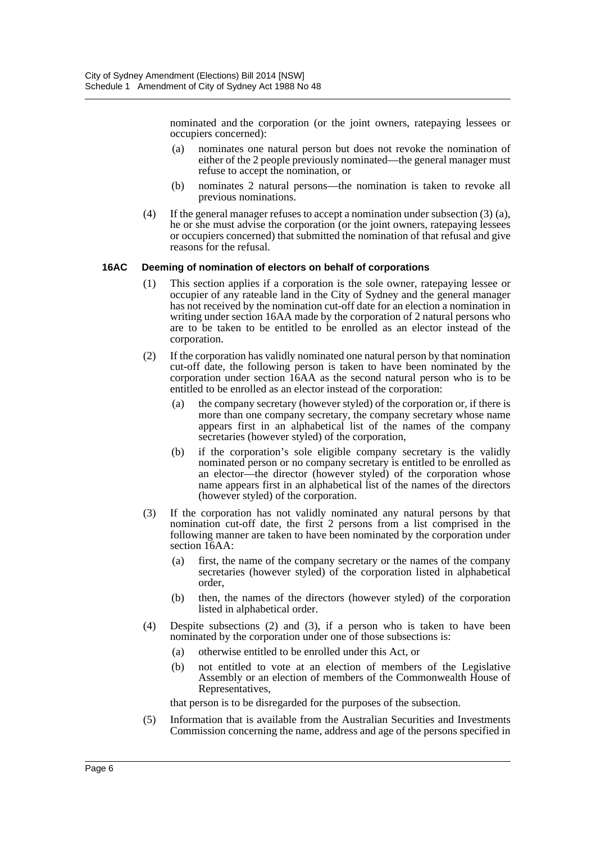nominated and the corporation (or the joint owners, ratepaying lessees or occupiers concerned):

- (a) nominates one natural person but does not revoke the nomination of either of the 2 people previously nominated—the general manager must refuse to accept the nomination, or
- (b) nominates 2 natural persons—the nomination is taken to revoke all previous nominations.
- (4) If the general manager refuses to accept a nomination under subsection (3) (a), he or she must advise the corporation (or the joint owners, ratepaying lessees or occupiers concerned) that submitted the nomination of that refusal and give reasons for the refusal.

#### **16AC Deeming of nomination of electors on behalf of corporations**

- (1) This section applies if a corporation is the sole owner, ratepaying lessee or occupier of any rateable land in the City of Sydney and the general manager has not received by the nomination cut-off date for an election a nomination in writing under section 16AA made by the corporation of 2 natural persons who are to be taken to be entitled to be enrolled as an elector instead of the corporation.
- (2) If the corporation has validly nominated one natural person by that nomination cut-off date, the following person is taken to have been nominated by the corporation under section 16AA as the second natural person who is to be entitled to be enrolled as an elector instead of the corporation:
	- (a) the company secretary (however styled) of the corporation or, if there is more than one company secretary, the company secretary whose name appears first in an alphabetical list of the names of the company secretaries (however styled) of the corporation,
	- (b) if the corporation's sole eligible company secretary is the validly nominated person or no company secretary is entitled to be enrolled as an elector—the director (however styled) of the corporation whose name appears first in an alphabetical list of the names of the directors (however styled) of the corporation.
- (3) If the corporation has not validly nominated any natural persons by that nomination cut-off date, the first 2 persons from a list comprised in the following manner are taken to have been nominated by the corporation under section 16AA:
	- (a) first, the name of the company secretary or the names of the company secretaries (however styled) of the corporation listed in alphabetical order,
	- (b) then, the names of the directors (however styled) of the corporation listed in alphabetical order.
- (4) Despite subsections (2) and (3), if a person who is taken to have been nominated by the corporation under one of those subsections is:
	- (a) otherwise entitled to be enrolled under this Act, or
	- (b) not entitled to vote at an election of members of the Legislative Assembly or an election of members of the Commonwealth House of Representatives,

that person is to be disregarded for the purposes of the subsection.

(5) Information that is available from the Australian Securities and Investments Commission concerning the name, address and age of the persons specified in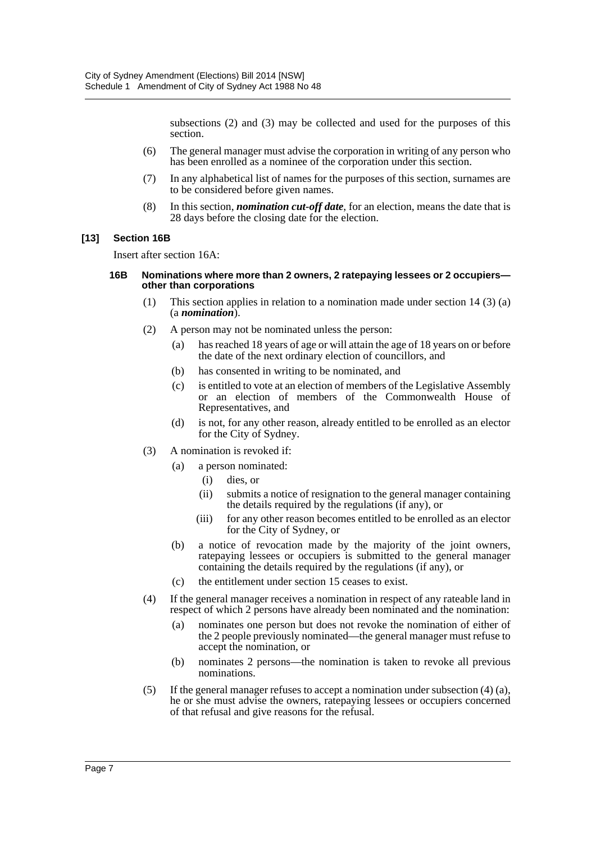subsections (2) and (3) may be collected and used for the purposes of this section.

- (6) The general manager must advise the corporation in writing of any person who has been enrolled as a nominee of the corporation under this section.
- (7) In any alphabetical list of names for the purposes of this section, surnames are to be considered before given names.
- (8) In this section, *nomination cut-off date*, for an election, means the date that is 28 days before the closing date for the election.

#### **[13] Section 16B**

Insert after section 16A:

#### **16B Nominations where more than 2 owners, 2 ratepaying lessees or 2 occupiers other than corporations**

- (1) This section applies in relation to a nomination made under section 14 (3) (a) (a *nomination*).
- (2) A person may not be nominated unless the person:
	- (a) has reached 18 years of age or will attain the age of 18 years on or before the date of the next ordinary election of councillors, and
	- (b) has consented in writing to be nominated, and
	- (c) is entitled to vote at an election of members of the Legislative Assembly or an election of members of the Commonwealth House of Representatives, and
	- (d) is not, for any other reason, already entitled to be enrolled as an elector for the City of Sydney.
- (3) A nomination is revoked if:
	- (a) a person nominated:
		- (i) dies, or
		- (ii) submits a notice of resignation to the general manager containing the details required by the regulations (if any), or
		- (iii) for any other reason becomes entitled to be enrolled as an elector for the City of Sydney, or
	- (b) a notice of revocation made by the majority of the joint owners, ratepaying lessees or occupiers is submitted to the general manager containing the details required by the regulations (if any), or
	- (c) the entitlement under section 15 ceases to exist.
- (4) If the general manager receives a nomination in respect of any rateable land in respect of which 2 persons have already been nominated and the nomination:
	- (a) nominates one person but does not revoke the nomination of either of the 2 people previously nominated—the general manager must refuse to accept the nomination, or
	- (b) nominates 2 persons—the nomination is taken to revoke all previous nominations.
- (5) If the general manager refuses to accept a nomination under subsection (4) (a), he or she must advise the owners, ratepaying lessees or occupiers concerned of that refusal and give reasons for the refusal.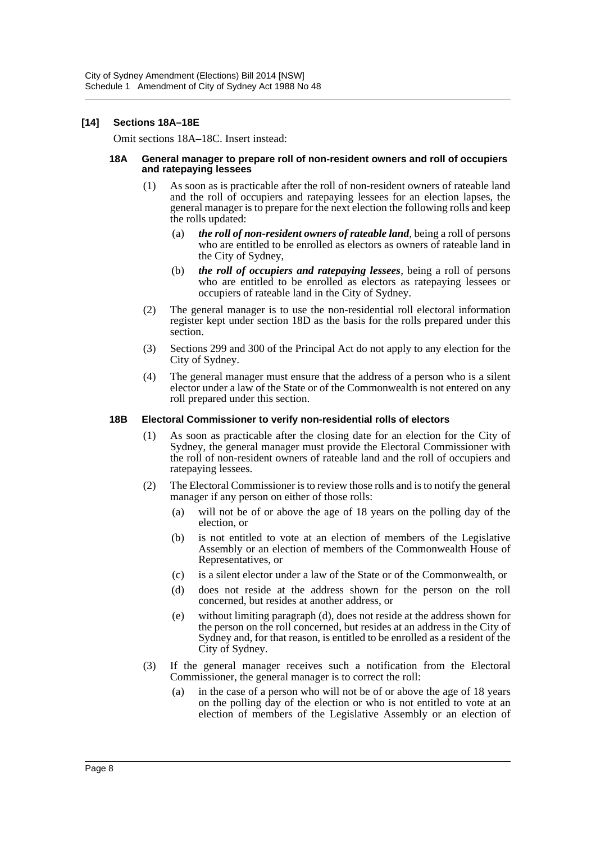#### **[14] Sections 18A–18E**

Omit sections 18A–18C. Insert instead:

#### **18A General manager to prepare roll of non-resident owners and roll of occupiers and ratepaying lessees**

- (1) As soon as is practicable after the roll of non-resident owners of rateable land and the roll of occupiers and ratepaying lessees for an election lapses, the general manager is to prepare for the next election the following rolls and keep the rolls updated:
	- (a) *the roll of non-resident owners of rateable land*, being a roll of persons who are entitled to be enrolled as electors as owners of rateable land in the City of Sydney,
	- (b) *the roll of occupiers and ratepaying lessees*, being a roll of persons who are entitled to be enrolled as electors as ratepaying lessees or occupiers of rateable land in the City of Sydney.
- (2) The general manager is to use the non-residential roll electoral information register kept under section 18D as the basis for the rolls prepared under this section.
- (3) Sections 299 and 300 of the Principal Act do not apply to any election for the City of Sydney.
- (4) The general manager must ensure that the address of a person who is a silent elector under a law of the State or of the Commonwealth is not entered on any roll prepared under this section.

#### **18B Electoral Commissioner to verify non-residential rolls of electors**

- (1) As soon as practicable after the closing date for an election for the City of Sydney, the general manager must provide the Electoral Commissioner with the roll of non-resident owners of rateable land and the roll of occupiers and ratepaying lessees.
- (2) The Electoral Commissioner is to review those rolls and is to notify the general manager if any person on either of those rolls:
	- (a) will not be of or above the age of 18 years on the polling day of the election, or
	- (b) is not entitled to vote at an election of members of the Legislative Assembly or an election of members of the Commonwealth House of Representatives, or
	- (c) is a silent elector under a law of the State or of the Commonwealth, or
	- (d) does not reside at the address shown for the person on the roll concerned, but resides at another address, or
	- (e) without limiting paragraph (d), does not reside at the address shown for the person on the roll concerned, but resides at an address in the City of Sydney and, for that reason, is entitled to be enrolled as a resident of the City of Sydney.
- (3) If the general manager receives such a notification from the Electoral Commissioner, the general manager is to correct the roll:
	- (a) in the case of a person who will not be of or above the age of 18 years on the polling day of the election or who is not entitled to vote at an election of members of the Legislative Assembly or an election of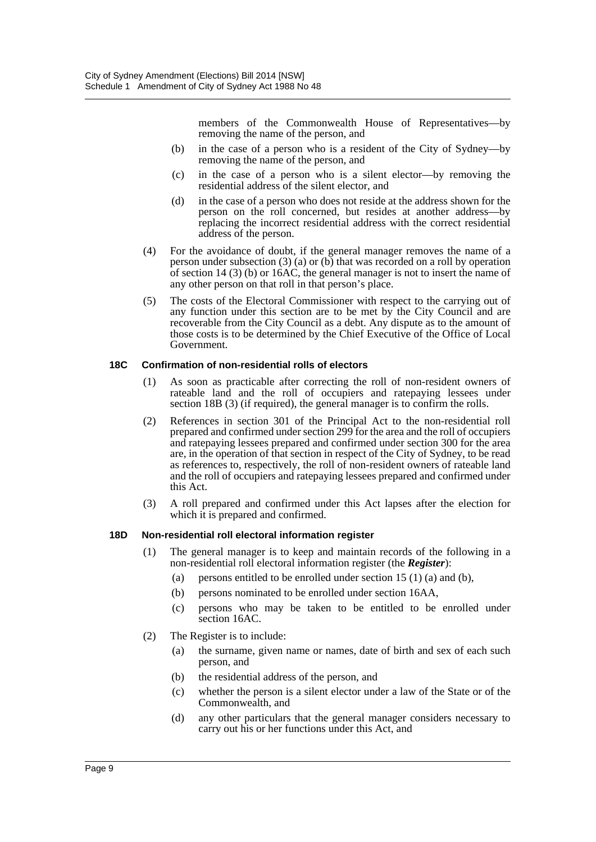members of the Commonwealth House of Representatives—by removing the name of the person, and

- (b) in the case of a person who is a resident of the City of Sydney—by removing the name of the person, and
- (c) in the case of a person who is a silent elector—by removing the residential address of the silent elector, and
- (d) in the case of a person who does not reside at the address shown for the person on the roll concerned, but resides at another address—by replacing the incorrect residential address with the correct residential address of the person.
- (4) For the avoidance of doubt, if the general manager removes the name of a person under subsection (3) (a) or (b) that was recorded on a roll by operation of section 14 (3) (b) or 16AC, the general manager is not to insert the name of any other person on that roll in that person's place.
- (5) The costs of the Electoral Commissioner with respect to the carrying out of any function under this section are to be met by the City Council and are recoverable from the City Council as a debt. Any dispute as to the amount of those costs is to be determined by the Chief Executive of the Office of Local Government.

#### **18C Confirmation of non-residential rolls of electors**

- (1) As soon as practicable after correcting the roll of non-resident owners of rateable land and the roll of occupiers and ratepaying lessees under section 18B (3) (if required), the general manager is to confirm the rolls.
- (2) References in section 301 of the Principal Act to the non-residential roll prepared and confirmed under section 299 for the area and the roll of occupiers and ratepaying lessees prepared and confirmed under section 300 for the area are, in the operation of that section in respect of the City of Sydney, to be read as references to, respectively, the roll of non-resident owners of rateable land and the roll of occupiers and ratepaying lessees prepared and confirmed under this Act.
- (3) A roll prepared and confirmed under this Act lapses after the election for which it is prepared and confirmed.

#### **18D Non-residential roll electoral information register**

- (1) The general manager is to keep and maintain records of the following in a non-residential roll electoral information register (the *Register*):
	- (a) persons entitled to be enrolled under section  $15(1)$  (a) and (b),
	- (b) persons nominated to be enrolled under section 16AA,
	- (c) persons who may be taken to be entitled to be enrolled under section 16AC.
- (2) The Register is to include:
	- (a) the surname, given name or names, date of birth and sex of each such person, and
	- (b) the residential address of the person, and
	- (c) whether the person is a silent elector under a law of the State or of the Commonwealth, and
	- (d) any other particulars that the general manager considers necessary to carry out his or her functions under this Act, and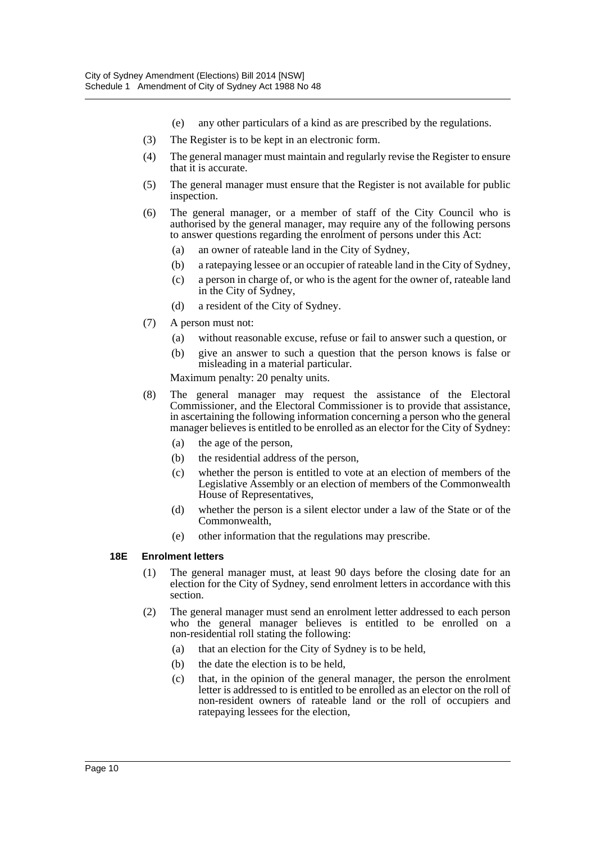- (e) any other particulars of a kind as are prescribed by the regulations.
- (3) The Register is to be kept in an electronic form.
- (4) The general manager must maintain and regularly revise the Register to ensure that it is accurate.
- (5) The general manager must ensure that the Register is not available for public inspection.
- (6) The general manager, or a member of staff of the City Council who is authorised by the general manager, may require any of the following persons to answer questions regarding the enrolment of persons under this Act:
	- (a) an owner of rateable land in the City of Sydney,
	- (b) a ratepaying lessee or an occupier of rateable land in the City of Sydney,
	- (c) a person in charge of, or who is the agent for the owner of, rateable land in the City of Sydney,
	- (d) a resident of the City of Sydney.
- (7) A person must not:
	- (a) without reasonable excuse, refuse or fail to answer such a question, or
	- (b) give an answer to such a question that the person knows is false or misleading in a material particular.

Maximum penalty: 20 penalty units.

- (8) The general manager may request the assistance of the Electoral Commissioner, and the Electoral Commissioner is to provide that assistance, in ascertaining the following information concerning a person who the general manager believes is entitled to be enrolled as an elector for the City of Sydney:
	- (a) the age of the person,
	- (b) the residential address of the person,
	- (c) whether the person is entitled to vote at an election of members of the Legislative Assembly or an election of members of the Commonwealth House of Representatives,
	- (d) whether the person is a silent elector under a law of the State or of the Commonwealth,
	- (e) other information that the regulations may prescribe.

#### **18E Enrolment letters**

- (1) The general manager must, at least 90 days before the closing date for an election for the City of Sydney, send enrolment letters in accordance with this section.
- (2) The general manager must send an enrolment letter addressed to each person who the general manager believes is entitled to be enrolled on a non-residential roll stating the following:
	- (a) that an election for the City of Sydney is to be held,
	- (b) the date the election is to be held,
	- (c) that, in the opinion of the general manager, the person the enrolment letter is addressed to is entitled to be enrolled as an elector on the roll of non-resident owners of rateable land or the roll of occupiers and ratepaying lessees for the election,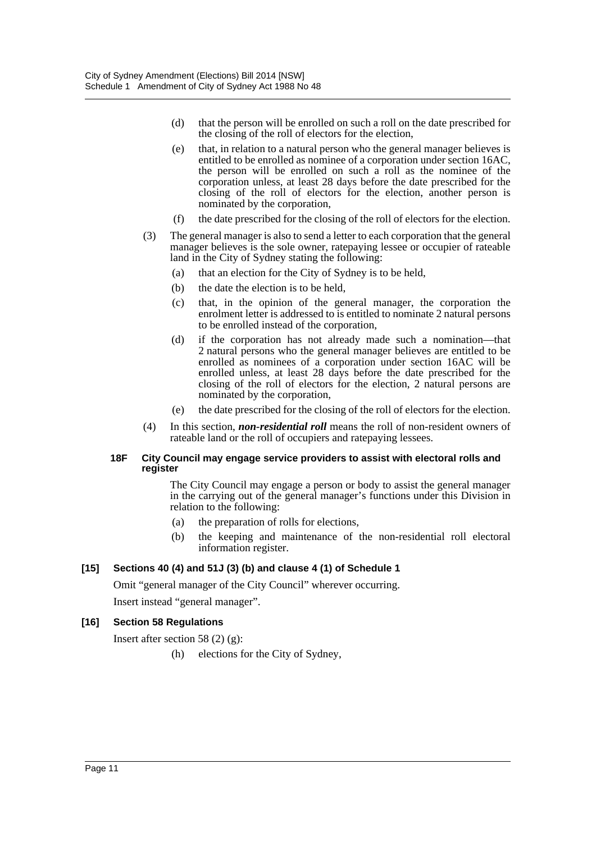- (d) that the person will be enrolled on such a roll on the date prescribed for the closing of the roll of electors for the election,
- (e) that, in relation to a natural person who the general manager believes is entitled to be enrolled as nominee of a corporation under section 16AC, the person will be enrolled on such a roll as the nominee of the corporation unless, at least 28 days before the date prescribed for the closing of the roll of electors for the election, another person is nominated by the corporation,
- (f) the date prescribed for the closing of the roll of electors for the election.
- (3) The general manager is also to send a letter to each corporation that the general manager believes is the sole owner, ratepaying lessee or occupier of rateable land in the City of Sydney stating the following:
	- (a) that an election for the City of Sydney is to be held,
	- (b) the date the election is to be held,
	- (c) that, in the opinion of the general manager, the corporation the enrolment letter is addressed to is entitled to nominate 2 natural persons to be enrolled instead of the corporation,
	- (d) if the corporation has not already made such a nomination—that 2 natural persons who the general manager believes are entitled to be enrolled as nominees of a corporation under section 16AC will be enrolled unless, at least 28 days before the date prescribed for the closing of the roll of electors for the election, 2 natural persons are nominated by the corporation,
	- (e) the date prescribed for the closing of the roll of electors for the election.
- (4) In this section, *non-residential roll* means the roll of non-resident owners of rateable land or the roll of occupiers and ratepaying lessees.

#### **18F City Council may engage service providers to assist with electoral rolls and register**

The City Council may engage a person or body to assist the general manager in the carrying out of the general manager's functions under this Division in relation to the following:

- (a) the preparation of rolls for elections,
- (b) the keeping and maintenance of the non-residential roll electoral information register.

#### **[15] Sections 40 (4) and 51J (3) (b) and clause 4 (1) of Schedule 1**

Omit "general manager of the City Council" wherever occurring.

Insert instead "general manager".

#### **[16] Section 58 Regulations**

Insert after section 58 (2) (g):

(h) elections for the City of Sydney,